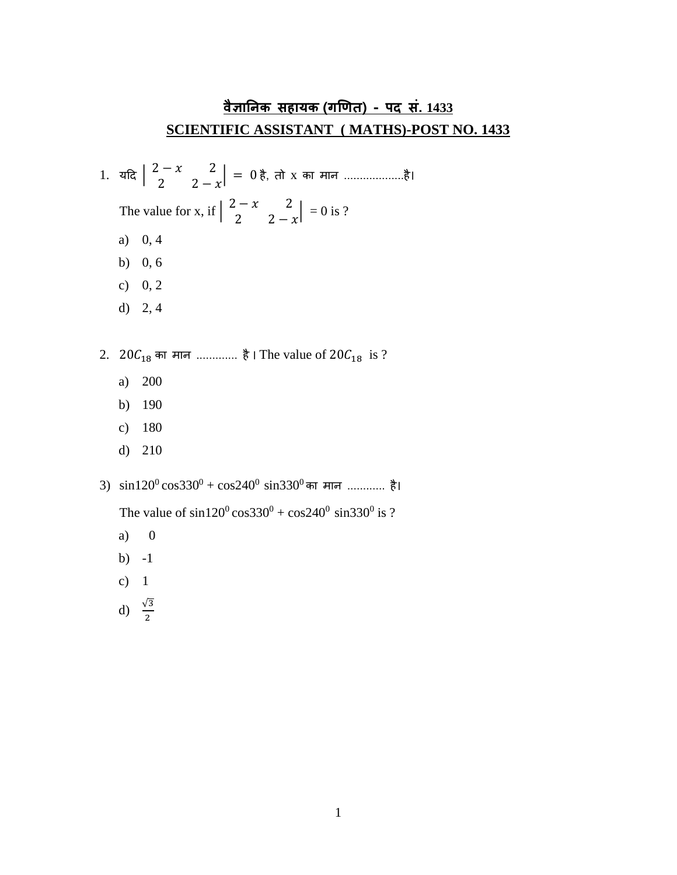## **वैज्ञानिक सहायक (गणित) - पद सं. 1433 SCIENTIFIC ASSISTANT ( MATHS)-POST NO. 1433**

1. यदि  $\begin{bmatrix} 2-x & 2 \ 2 & 2 \end{bmatrix}$  $\begin{vmatrix} 2 & 2 \ 2 & 2-x \end{vmatrix} = 0$  है, तो x का मान ......................है। The value for x, if  $\begin{pmatrix} 2-x & 2 \ 2 & 2 \end{pmatrix}$  $\begin{vmatrix} 2 & 2 \\ 2 & 2 - x \end{vmatrix} = 0$  is ? a) 0, 4 b) 0, 6 c)  $0, 2$ d) 2, 4 2.  $20C_{18}$  का मान ............. है । The value of  $20C_{18}$  is ? a) 200 b) 190 c) 180 d) 210 3)  $\sin 120^\circ \cos 330^\circ + \cos 240^\circ \sin 330^\circ$ का मान ............. है।

The value of  $\sin 120^{\circ} \cos 330^{\circ} + \cos 240^{\circ} \sin 330^{\circ}$  is ?

- a) 0
- b) -1
- c) 1
- d)  $\frac{\sqrt{3}}{2}$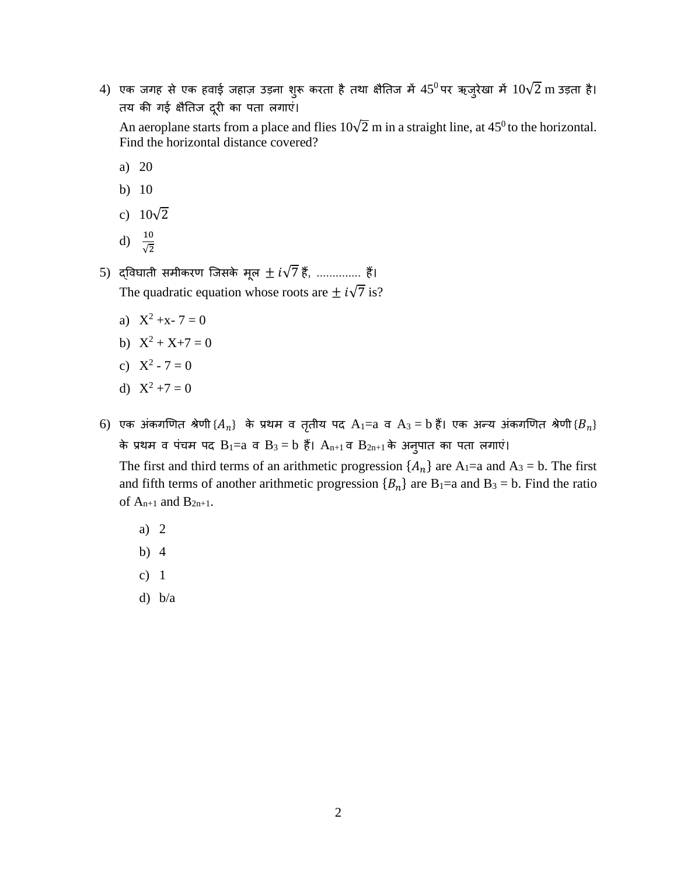$4)$  एक जगह से एक हवाई जहाज़ उड़ना शुरू करता है तथा क्षैतिज में  $45^0$ पर ऋजुरेखा में  $10\sqrt{2}~\mathrm{m}$  उड़ता है। तय की गई क्षैतिज दूरी का पता लगाएं।

An aeroplane starts from a place and flies  $10\sqrt{2}$  m in a straight line, at 45<sup>0</sup>to the horizontal. Find the horizontal distance covered?

- a) 20
- b) 10
- c)  $10\sqrt{2}$
- d)  $\frac{10}{\sqrt{2}}$
- 5) द्विघाती समीकरण जिसके मूल  $\pm i\sqrt{7}$  हैं, .............. हैं। The quadratic equation whose roots are  $\pm i\sqrt{7}$  is?
	- a)  $X^2 + x 7 = 0$
	- b)  $X^2 + X + 7 = 0$
	- c)  $X^2 7 = 0$
	- d)  $X^2 + 7 = 0$
- $6)$  एक अंकगणित श्रेणी $\{A_n\}$  के प्रथम व तृतीय पद  $\mathrm{A}_1$ = $\mathrm{a}$  व  $\mathrm{A}_3$   $=$   $\mathrm{b}$  हैं। एक अन्य अंकगणित श्रेणी $\{B_n\}$ के प्रथम व पंचम पद  $B_1=a$  व  $B_3=b$  हैं।  $A_{n+1}$  व  $B_{2n+1}$  के अनुपात का पता लगाएं।

The first and third terms of an arithmetic progression  $\{A_n\}$  are  $A_1$ =a and  $A_3$  = b. The first and fifth terms of another arithmetic progression  ${B_n}$  are B<sub>1</sub>=a and B<sub>3</sub> = b. Find the ratio of  $A_{n+1}$  and  $B_{2n+1}$ .

- a) 2
- b) 4
- c) 1
- d) b/a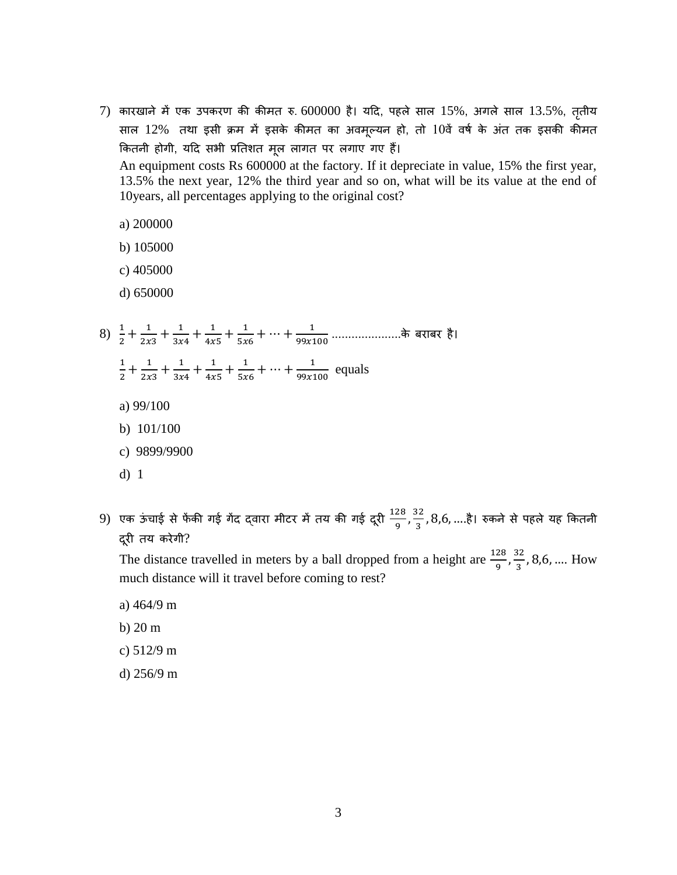- $7)$  कारखाने में एक उपकरण की कीमत रु. 600000 है। यदि, पहले साल 15%, अगले साल 13.5%, तृतीय साल 12% तथा इसी क्रम में इसके कीमत का अवमूल्यन हो, तो 10वें वर्ष के अंत तक इसकी कीमत ककतनी होगी, यदि सभी प्रततशत मूल लागत पर लगाए गए हैं। An equipment costs Rs 600000 at the factory. If it depreciate in value, 15% the first year, 13.5% the next year, 12% the third year and so on, what will be its value at the end of 10years, all percentages applying to the original cost?
	- a) 200000
	- b) 105000
	- c) 405000
	- d) 650000
- 8)  $\frac{1}{2} + \frac{1}{2x}$  $\frac{1}{2x3} + \frac{1}{3x}$  $\frac{1}{3x4} + \frac{1}{4x}$  $\frac{1}{4x5} + \frac{1}{5x}$  $\frac{1}{5x6} + \dots + \frac{1}{99x1}$  $\frac{1}{99x100}$  ...................के बराबर है। 1  $\frac{1}{2} + \frac{1}{2x}$  $\frac{1}{2x3} + \frac{1}{3x}$  $\frac{1}{3x4} + \frac{1}{4x}$  $\frac{1}{4x5} + \frac{1}{5x}$  $\frac{1}{5x6} + \dots + \frac{1}{99x1}$  $\frac{1}{99x100}$  equals
	- a) 99/100
	- b) 101/100
	- c) 9899/9900
	- d) 1
- 9) एक ऊंचाई से फेंकी गई गेंद द्वारा मीटर में तय की गई दूरी  $\frac{128}{\alpha}$  $\frac{28}{9}$ ,  $\frac{32}{3}$  $\frac{32}{3}$ , $8,6,...$ है। रुकने से पहले यह कितनी िरूी तय करेगी?

The distance travelled in meters by a ball dropped from a height are  $\frac{128}{9}$ ,  $\frac{32}{3}$  $\frac{32}{3}$ , 8,6, .... How much distance will it travel before coming to rest?

- a) 464/9 m
- b) 20 m
- c) 512/9 m
- d) 256/9 m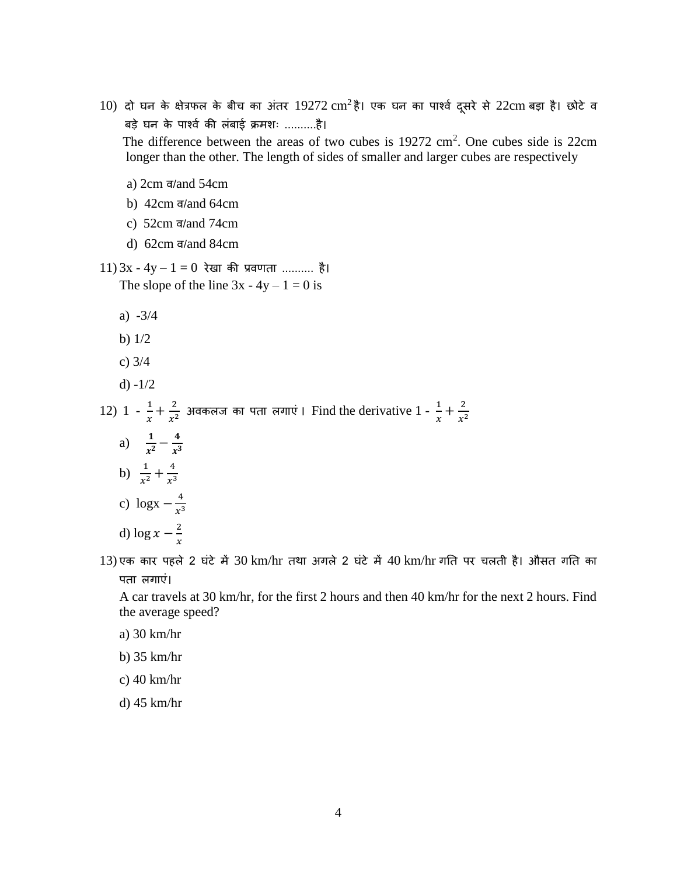- $10$ ) दो घन के क्षेत्रफल के बीच का अंतर  $19272 \text{ cm}^2$ है। एक घन का पार्श्व दूसरे से  $22 \text{ cm}$  बड़ा है। छोटे व बड़े घन के पार्शवष की लंबाई क्रमशः ..........है। The difference between the areas of two cubes is  $19272 \text{ cm}^2$ . One cubes side is  $22 \text{ cm}$  longer than the other. The length of sides of smaller and larger cubes are respectively
	- a) 2cm व/and 54cm
	- b) 42cm व/and 64cm
	- c) 52cm व/and 74cm
	- d) 62cm व/and 84cm
- $11)$  3x 4y 1 = 0 रेखा की प्रवणता .......... है। The slope of the line  $3x - 4y - 1 = 0$  is
	- a) -3/4
	- b) 1/2
	- c) 3/4
	- d) -1/2

12) 1 -  $\frac{1}{x}$  $\frac{1}{x} + \frac{2}{x^2}$  $\frac{2}{x^2}$  अवकलज का पता लगाएं । Find the derivative 1 -  $\frac{1}{x}$  $\frac{1}{x} + \frac{2}{x^2}$  $x^2$ 

- a)  $\frac{1}{x^3}$  $\frac{1}{x^2} - \frac{4}{x^3}$  $\frac{4}{x^3}$ b)  $\frac{1}{x^2} + \frac{4}{x^3}$  $x^3$ c) logx  $-\frac{4}{\pi}$  $x^3$ d)  $\log x - \frac{2}{x}$
- $\mathcal{X}$

 $13$ ) एक कार पहले 2 घंटे में  $30$  km/hr तथा अगले 2 घंटे में  $40$  km/hr गति पर चलती है। औसत गति का पता लगाएं।

A car travels at 30 km/hr, for the first 2 hours and then 40 km/hr for the next 2 hours. Find the average speed?

- a) 30 km/hr
- b) 35 km/hr
- c) 40 km/hr

d) 45 km/hr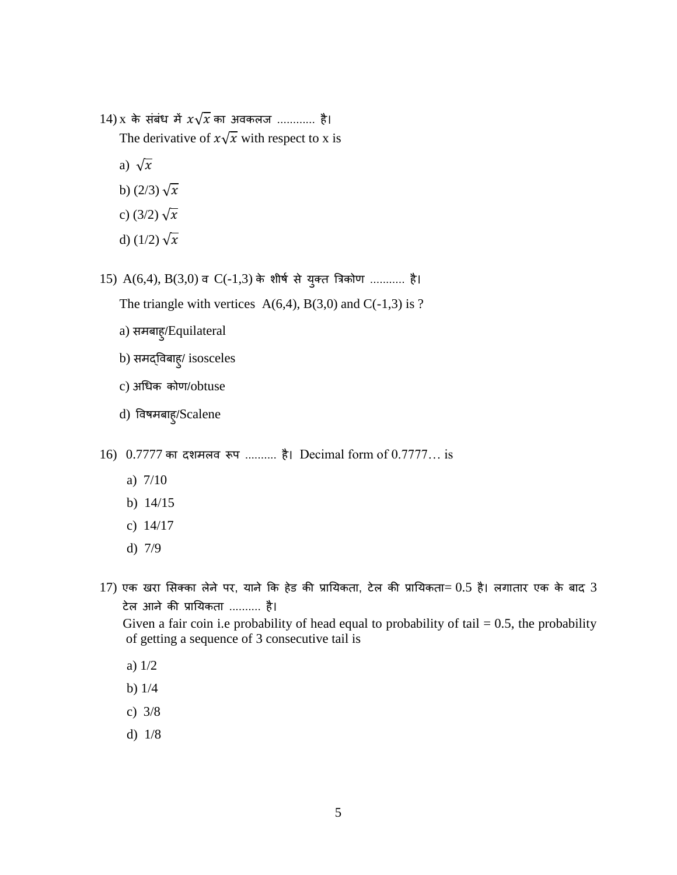- $14)$  x के संबंध में  $x\sqrt{x}$  का अवकलज ............ है। The derivative of  $x\sqrt{x}$  with respect to x is
	- a)  $\sqrt{x}$
	- b)  $(2/3)\sqrt{x}$
	- c) (3/2)  $\sqrt{x}$
	- d)  $(1/2)\sqrt{x}$
- $15)$   $A(6,4)$ ,  $B(3,0)$  व  $C(-1,3)$  के शीर्ष से युक्त त्रिकोण ........... है।
	- The triangle with vertices  $A(6,4)$ ,  $B(3,0)$  and  $C(-1,3)$  is ?
	- a) समबाहु/Equilateral
	- b) समद्ववबाहु/ isosceles
	- c) अधधक कोण/obtuse
	- d) ववर्मबाहु/Scalene
- 16) 0.7777 का दशमलव रूप .......... है। Decimal form of 0.7777... is
	- a) 7/10
	- b) 14/15
	- c) 14/17
	- d) 7/9
- $17$ ) एक खरा सिक्का लेने पर, याने कि हेड की प्रायिकता, टेल की प्रायिकता=  $0.5$  है। लगातार एक के बाद  $3$ टेल आने की प्रातयकता .......... है। Given a fair coin i.e probability of head equal to probability of tail  $= 0.5$ , the probability
	- of getting a sequence of 3 consecutive tail is
	- a) 1/2
	- b) 1/4
	- c) 3/8
	- d) 1/8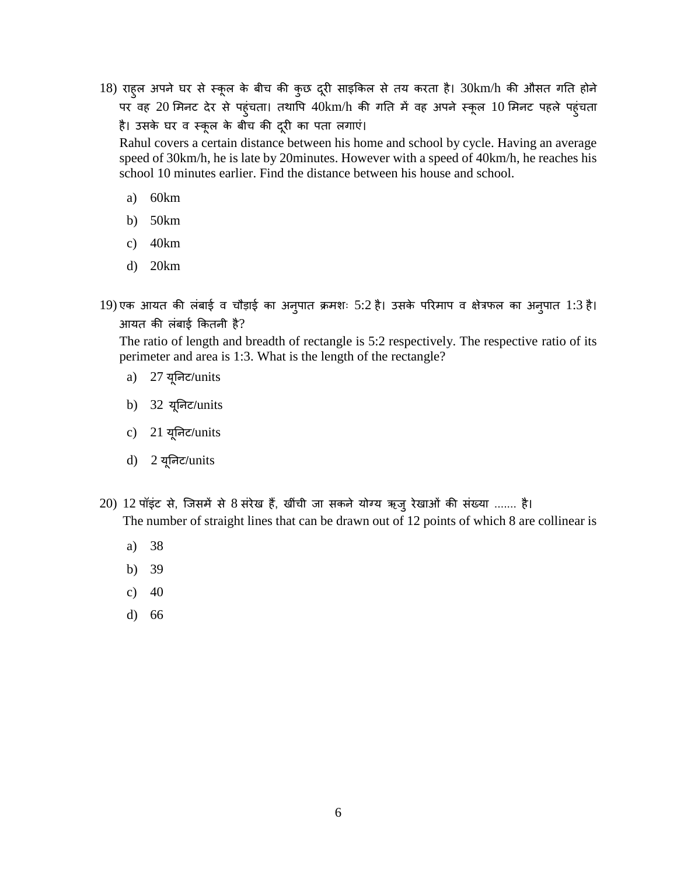18) राहुल अपने घर से स्कूल के बीच की कुछ दूरी साइकिल से तय करता है। 30km/h की औसत गति होने पर वह 20 मिनट देर से पहुंचता। तथापि 40km/h की गति में वह अपने स्कूल 10 मिनट पहले पहुंचता है। उसके घर व स्कूल के बीच की दूरी का पता लगाएं।

Rahul covers a certain distance between his home and school by cycle. Having an average speed of 30km/h, he is late by 20minutes. However with a speed of 40km/h, he reaches his school 10 minutes earlier. Find the distance between his house and school.

- a) 60km
- b) 50km
- c) 40km
- d) 20km
- 19) एक आयत की लंबाई व चौड़ाई का अनुपात क्रमशः 5:2 है। उसके पररमाप व क्षेत्रफल का अनुपात 1:3 है। आयत की लंबाई ककतनी है?

The ratio of length and breadth of rectangle is 5:2 respectively. The respective ratio of its perimeter and area is 1:3. What is the length of the rectangle?

- a) 27 यूतनट/units
- b) 32 यूतनट/units
- c) 21 यूतनट/units
- d) 2 यूतनट/units
- 20) 12 पॉइंट से, जजसमें से 8 संरेख हैं, खींची जा सकने योग्य ऋजुरेखाओं की संख्या ....... है। The number of straight lines that can be drawn out of 12 points of which 8 are collinear is
	- a) 38
	- b) 39
	- c)  $40$
	- d) 66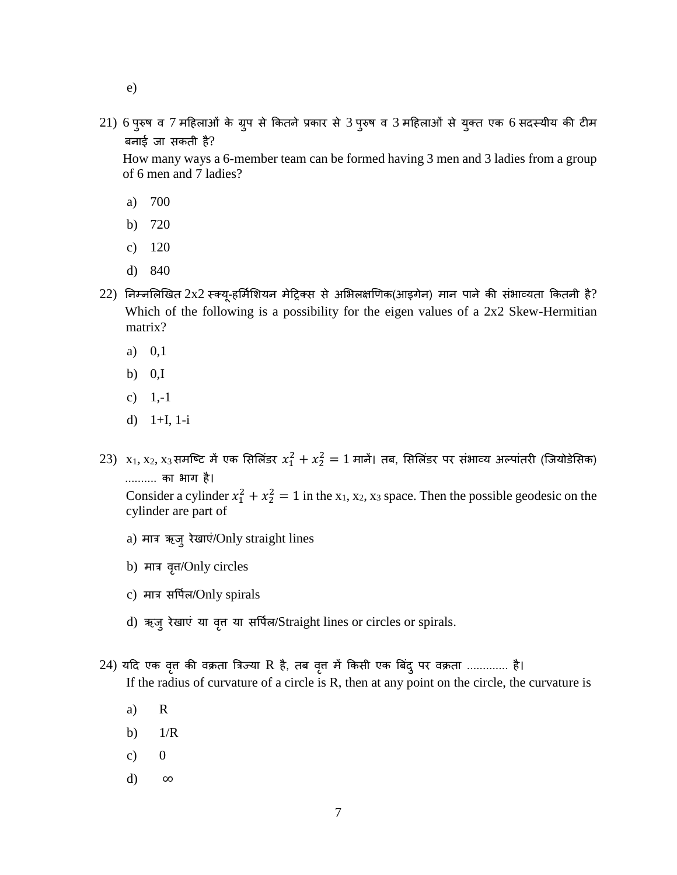- e)
- 21) 6 पुरुष व 7 महिलाओं के ग्रुप से कितने प्रकार से 3 पुरुष व 3 महिलाओं से युक्त एक 6 सदस्यीय की टीम बनाई जा सकती है?

 How many ways a 6-member team can be formed having 3 men and 3 ladies from a group of 6 men and 7 ladies?

- a) 700
- b) 720
- c) 120
- d) 840
- $22$ ) निम्नलिखित  $2x2$  स्क्यू-हर्मिशियन मेट्रिक्स से अभिलक्षणिक(आइगेन) मान पाने की संभाव्यता कितनी है? Which of the following is a possibility for the eigen values of a 2x2 Skew-Hermitian matrix?
	- a) 0,1
	- b)  $0,I$
	- c)  $1,-1$
	- d) 1+I, 1-i
- $23)$   $\mathrm{x}_1,\mathrm{x}_2,\mathrm{x}_3$ समष्टि में एक सिलिंडर  $x_1^2+x_2^2=1$  मानें। तब, सिलिंडर पर संभाव्य अल्पांतरी (जियोडेसिक) .......... का भाग है।

Consider a cylinder  $x_1^2 + x_2^2 = 1$  in the x<sub>1</sub>, x<sub>2</sub>, x<sub>3</sub> space. Then the possible geodesic on the cylinder are part of

- a) मात्र ऋजुरेखाएं/Only straight lines
- b) मात्र वृत्त/Only circles
- c) मात्र सवपषल/Only spirals
- d) ऋजुरेखाएं या वृत्त या सर्पिल/Straight lines or circles or spirals.
- 24) यदि एक वृत्त की वक्रता त्रिज्या R है, तब वृत्त में किसी एक बिंद् पर वक्रता ............. है। If the radius of curvature of a circle is R, then at any point on the circle, the curvature is
	- a) R
	- b)  $1/R$
	- c)  $0$
	- d) ∞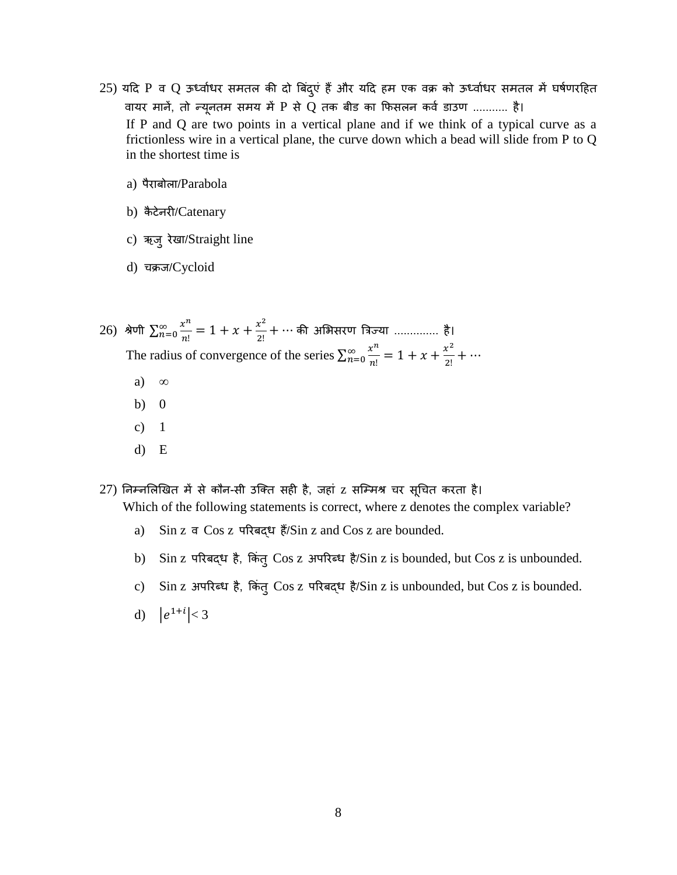- $25)$  यदि P व Q ऊर्ध्वाधर समतल की दो बिंदुएं हैं और यदि हम एक वक्र को ऊर्ध्वाधर समतल में घर्षणरहित वायर मानें, तो न्यूनतम समय में P से Q तक बीड का फिसलन कर्व डाउण ........... है। If P and Q are two points in a vertical plane and if we think of a typical curve as a frictionless wire in a vertical plane, the curve down which a bead will slide from P to Q in the shortest time is
	- a) पैराबोला/Parabola
	- b) कैटेनरी/Catenary
	- c) ऋजुरेखा/Straight line
	- d) चक्रज/Cycloid
- 26) श्रेणी  $\sum_{n=0}^{\infty} \frac{x^n}{n!}$  $\frac{x^n}{n!} = 1 + x + \frac{x^2}{2!}$ 2!  $\sum_{n=0}^{\infty}\frac{x^{n}}{n!}=1+x+\frac{x^{2}}{2!}+\cdots$  की अभिसरण त्रिज्या ................ है। The radius of convergence of the series  $\sum_{n=0}^{\infty} \frac{x^n}{n!}$  $\frac{x^n}{n!} = 1 + x + \frac{x^2}{2!}$ 2!  $\sum_{n=0}^{\infty} \frac{x^{n}}{n!} = 1 + x + \frac{x^{2}}{2!} + \cdots$ 
	- a) ∞
	- b) 0
	- c)  $1$
	- d) E
- 27) तनम्नसलणखत में से कौन-सी उजक्त सही है, जहां z सजम्मश्र चर सूधचत करता है।

Which of the following statements is correct, where z denotes the complex variable?

- a) Sin z व Cos z पररबद्ध हैं/Sin z and Cos z are bounded.
- b) Sin z परिबद्ध है, किंत् Cos z अपरिब्ध है/Sin z is bounded, but Cos z is unbounded.
- c) Sin z अपरिब्ध है, किंतु Cos z परिबद्ध है/Sin z is unbounded, but Cos z is bounded.
- d)  $|e^{1+i}| < 3$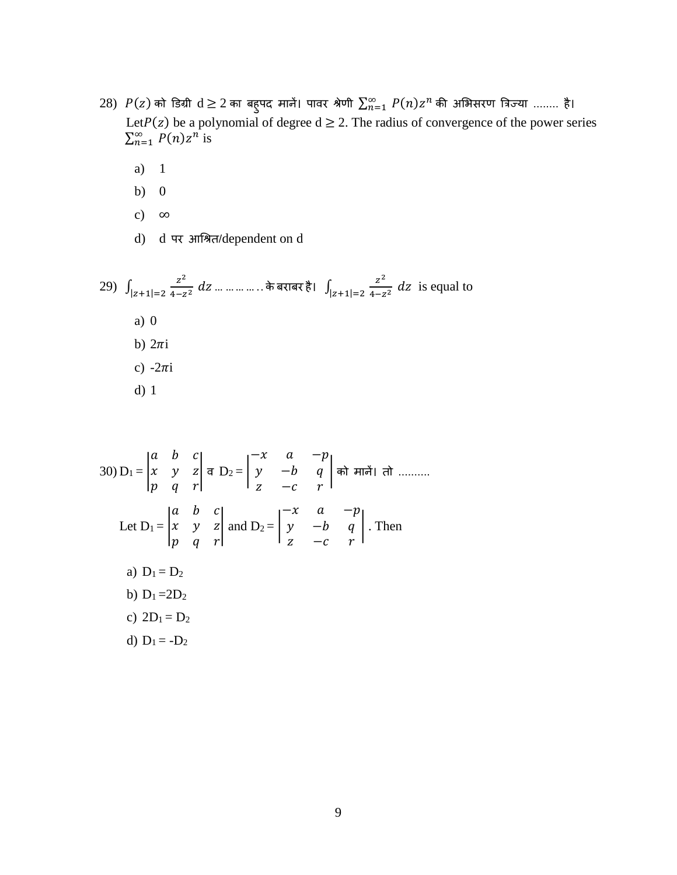- $28)$   $P(z)$  को डिग्री  $d\geq 2$  का बहुपद मानें। पावर श्रेणी  $\sum_{n=1}^{\infty}\,P(n)z^{n}$  की अभिसरण त्रिज्या ........ है। Let  $P(z)$  be a polynomial of degree  $d \ge 2$ . The radius of convergence of the power series  $\sum_{n=1}^{\infty} P(n)z^n$  is
	- a) 1
	- b) 0
	- c)  $\infty$
	- d) d पर आधश्रत/dependent on d

29) 
$$
\int_{|z+1|=2} \frac{z^2}{4-z^2} dz
$$
 ............. $\pi \arctan \frac{z^2}{1-z+1}=2 \frac{z^2}{4-z^2} dz$  is equal to  
\na) 0  
\nb)  $2\pi i$   
\nc)  $-2\pi i$   
\nd) 1

30) 
$$
D_1 = \begin{vmatrix} a & b & c \\ x & y & z \\ p & q & r \end{vmatrix} \neq D_2 = \begin{vmatrix} -x & a & -p \\ y & -b & q \\ z & -c & r \end{vmatrix} \neq D_n
$$
 and  $\overline{D_1} = \begin{vmatrix} a & b & c \\ x & y & z \\ p & q & r \end{vmatrix}$  and  $D_2 = \begin{vmatrix} -x & a & -p \\ y & -b & q \\ z & -c & r \end{vmatrix}$ . Then  
\na)  $D_1 = D_2$   
\nb)  $D_1 = 2D_2$   
\nc)  $2D_1 = D_2$   
\nd)  $D_1 = -D_2$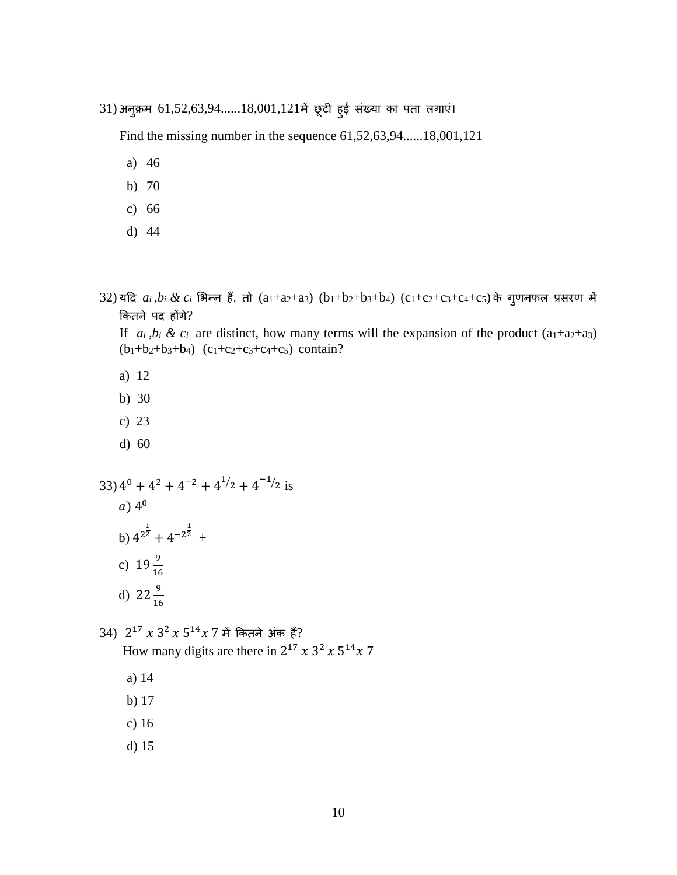31) अनुक्रम 61,52,63,94......18,001,121में छूटी हुई संख्या का पता लगाएं।

Find the missing number in the sequence 61,52,63,94......18,001,121

- a) 46
- b) 70
- c) 66
- d) 44
- $32)$  यदि  $a_i$ , $b_i$  &  $c_i$  भिन्न हैं, तो  $(a_1+a_2+a_3)$   $(b_1+b_2+b_3+b_4)$   $(c_1+c_2+c_3+c_4+c_5)$  के ग्**णनफल प्रसरण में** कितने पद होंगे?

If  $a_i, b_i \& c_i$  are distinct, how many terms will the expansion of the product  $(a_1+a_2+a_3)$  $(b_1+b_2+b_3+b_4)$   $(c_1+c_2+c_3+c_4+c_5)$  contain?

- a) 12
- b) 30
- c) 23
- d) 60

33)  $4^0 + 4^2 + 4^{-2} + 4^{1/2} + 4^{-1/2}$  is

$$
a)\,4^0
$$

- b)  $4^{2^{\frac{1}{2}}} + 4^{-2^{\frac{1}{2}}} +$
- c)  $19\frac{9}{16}$
- d)  $22\frac{9}{16}$

34)  $2^{17} x 3^2 x 5^{14} x 7$  में कितने अंक हैं? How many digits are there in  $2^{17} x 3^2 x 5^{14} x 7$ 

- a) 14
- b) 17
- c) 16
- d) 15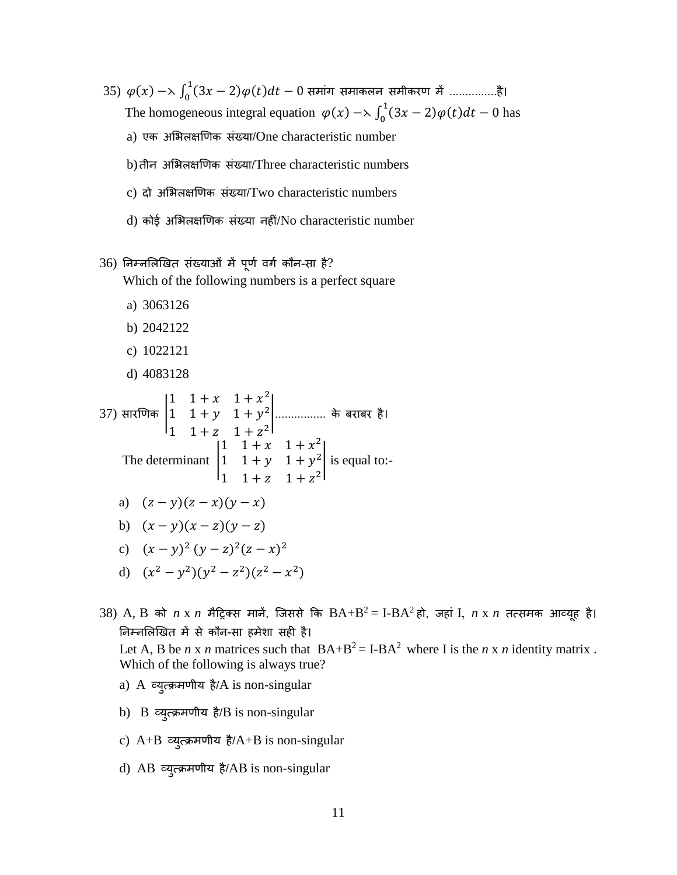35)  $\varphi(x) \to \int_0^1 (3x - 2) \varphi(t) dt - 0$  $\int_{0}^{\pi}(3x-2)\varphi(t)dt-0$  समाग समाकलन समीकरण में ................है। The homogeneous integral equation  $\varphi(x) \to \int_0^1 (3x - 2) \varphi(t) dt - 0$  $\int_0^1 (3x-2)\varphi(t)dt - 0$  has a) एक असभलक्षणणक संख्या/One characteristic number b)तीन असभलक्षणणक संख्या/Three characteristic numbers

- c) दो अभिलक्षणिक संख्या/Two characteristic numbers
- d) कोई असभलक्षणणक संख्या नहीं/No characteristic number
- $36$ ) निम्नलिखित संख्याओं में पूर्ण वर्ग कौन-सा है? Which of the following numbers is a perfect square
	- a) 3063126
	- b) 2042122
	- c) 1022121
	- d) 4083128

37) 
$$
\text{tr}(\overline{v}) = \begin{vmatrix} 1 & 1+x & 1+x^2 \\ 1 & 1+y & 1+y^2 \\ 1 & 1+z & 1+z^2 \end{vmatrix}
$$
   
\n
$$
\text{The determinant } \begin{vmatrix} 1 & 1+x & 1+x^2 \\ 1 & 1+y & 1+x^2 \\ 1 & 1+z & 1+z^2 \end{vmatrix} \text{ is equal to:}
$$

a) 
$$
(z - y)(z - x)(y - x)
$$

b) 
$$
(x - y)(x - z)(y - z)
$$

- c)  $(x y)^2 (y z)^2 (z x)^2$
- d)  $(x^2 y^2)(y^2 z^2)(z^2 x^2)$

 $38)$   $\rm A, B$  को  $\it n$   $\rm x$   $\it n$  मैट्रिक्स मानें, जिससे कि  $\rm BA + B^2$  = I- $\rm BA^2$ हो, जहां I,  $\it n$   $\rm x$   $\it n$  तत्समक आव्यूह है। तनम्नसलणखत में से कौन-सा हमेशा सही है। Let A, B be *n* x *n* matrices such that  $BA+B^2 = I-BA^2$  where I is the *n* x *n* identity matrix.

Which of the following is always true?

- a) A व्युत्क्रमणीय है/A is non-singular
- b) B व्युत्क्रमणीय है/B is non-singular
- c) A+B व्युत्क्रमणीय है/A+B is non-singular
- d) AB व्युत्क्रमणीय है/AB is non-singular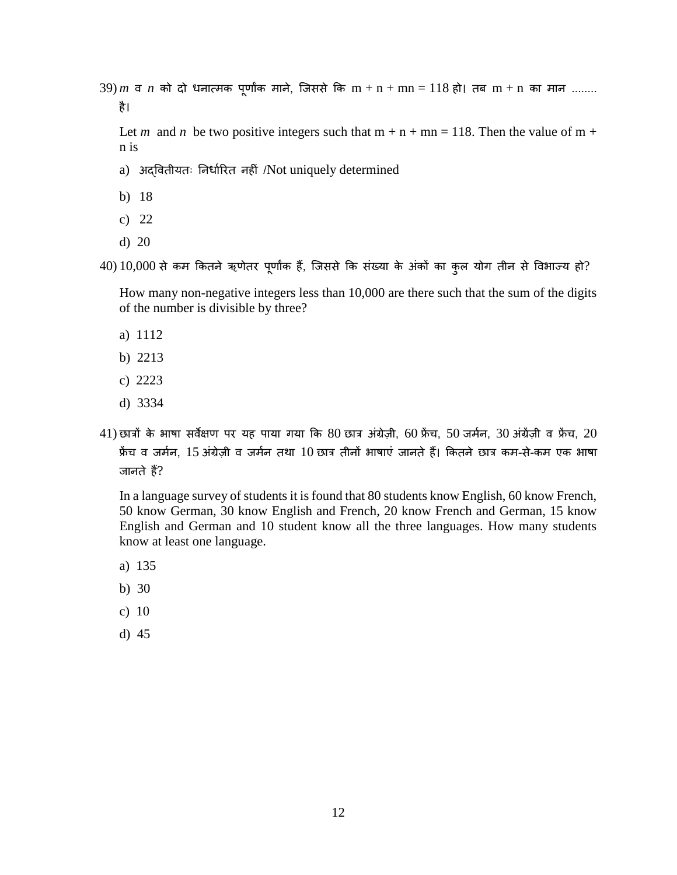$39$ ) $m$  व  $n$  को दो धनात्मक पूर्णांक माने, जिससे कि  $m + n + mn = 118$  हो। तब  $m + n$  का मान ........ है।

Let *m* and *n* be two positive integers such that  $m + n + mn = 118$ . Then the value of  $m +$ n is

- a) अदवितीयतः निर्धारित नहीं /Not uniquely determined
- b) 18
- c) 22
- d) 20
- $40)$   $10,000$  से कम कितने ऋणेतर पूर्णांक हैं, जिससे कि संख्या के अंकों का कुल योग तीन से विभाज्य हो?

How many non-negative integers less than 10,000 are there such that the sum of the digits of the number is divisible by three?

- a) 1112
- b) 2213
- c) 2223
- d) 3334
- $41)$  छात्रों के भाषा सर्वेक्षण पर यह पाया गया कि  $80$  छात्र अंग्रेजी, 60 फ्रेंच, 50 जर्मन, 30 अंग्रेंजी व फ्रेंच, 20 फ्रेंच व जर्मन, 15 अंग्रेज़ी व जर्मन तथा 10 छात्र तीनों भाषाएं जानते हैं। कितने छात्र कम-से-कम एक भाषा जानते हैं?

In a language survey of students it is found that 80 students know English, 60 know French, 50 know German, 30 know English and French, 20 know French and German, 15 know English and German and 10 student know all the three languages. How many students know at least one language.

- a) 135
- b) 30
- c) 10
- d) 45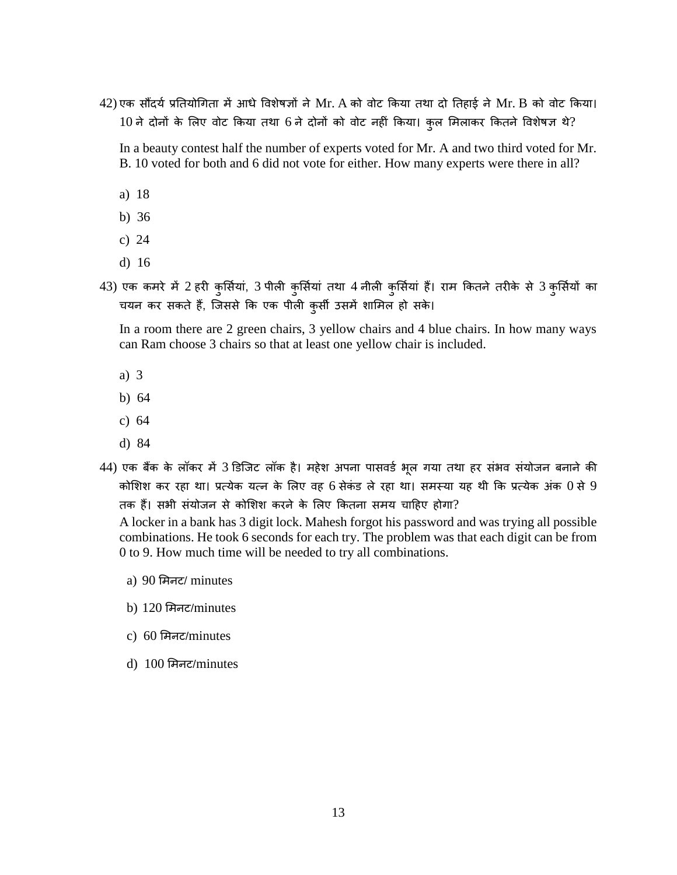$42$ ) एक सौंदर्य प्रतियोगिता में आधे विशेषज्ञों ने Mr. A को वोट किया तथा दो तिहाई ने Mr. B को वोट किया।  $10$  ने दोनों के लिए वोट किया तथा 6 ने दोनों को वोट नहीं किया। कुल मिलाकर कितने विशेषज्ञ थे?

In a beauty contest half the number of experts voted for Mr. A and two third voted for Mr. B. 10 voted for both and 6 did not vote for either. How many experts were there in all?

- a) 18
- b) 36
- c) 24
- d) 16
- 43) एक कमरे में 2 हरी कुर्सियां, 3 पीली कुर्सियां तथा 4 नीली कुर्सियां हैं। राम कितने तरीके से 3 कुर्सियों का चयन कर सकते हैं, जिससे कि एक पीली कुर्सी उसमें शामिल हो सके।

In a room there are 2 green chairs, 3 yellow chairs and 4 blue chairs. In how many ways can Ram choose 3 chairs so that at least one yellow chair is included.

- a) 3
- b) 64
- c) 64
- d) 84
- 44) एक बैंक के लॉकर में 3 डिजिट लॉक है। महेश अपना पासवर्ड भूल गया तथा हर संभव संयोजन बनाने की कोशिश कर रहा था। प्रत्येक यत्न के लिए वह 6 सेकंड ले रहा था। समस्या यह थी कि प्रत्येक अंक  $0$  से 9 तक हैं। सभी संयोजन से कोसशश करने के सलए ककतना समय चादहए होगा?

A locker in a bank has 3 digit lock. Mahesh forgot his password and was trying all possible combinations. He took 6 seconds for each try. The problem was that each digit can be from 0 to 9. How much time will be needed to try all combinations.

- a) 90 समनट/ minutes
- b) 120 समनट/minutes
- c) 60 समनट/minutes
- d) 100 समनट/minutes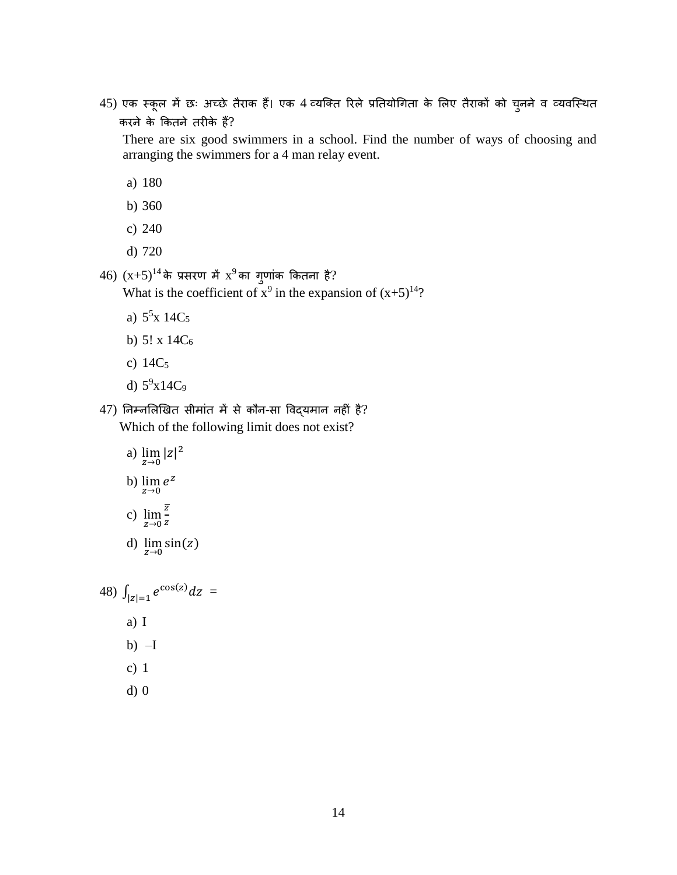45) एक स्कूल में छः अच्छे तैराक हैं। एक 4 व्यजक्त ररले प्रततयोधगता के सलए तैराकों को चुनने व व्यवजस्थत करने के ककतने तरीके हैं?

There are six good swimmers in a school. Find the number of ways of choosing and arranging the swimmers for a 4 man relay event.

- a) 180
- b) 360
- c) 240
- d) 720

 $(46)$   $(x+5)^{14}$ के प्रसरण में  $x^9$ का गुणांक कितना है?

What is the coefficient of  $x^9$  in the expansion of  $(x+5)^{14}$ ?

- a)  $5^5$ x 14C<sub>5</sub>
- b) 5! x 14C<sup>6</sup>
- c) 14C<sup>5</sup>
- d)  $5^9x14C_9$
- 47) तनम्नसलणखत सीमांत में से कौन-सा ववद्यमान नहीं है? Which of the following limit does not exist?
	- a)  $\lim_{z \to 0} |z|^2$ b)  $\lim_{z\to 0} e^z$ c)  $\lim_{z\to 0} \frac{\overline{z}}{z}$  $\frac{z}{z}$
	- d)  $\lim_{z\to 0} \sin(z)$

48) 
$$
\int_{|z|=1} e^{\cos(z)} dz =
$$
  
a) I  
b) -I  
c) 1

d) 0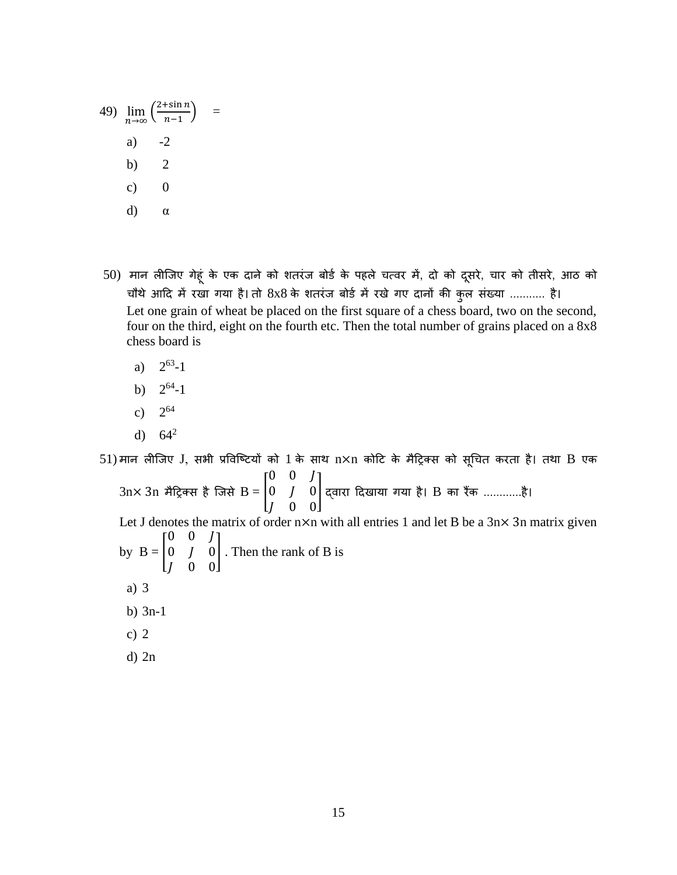49) 
$$
\lim_{n \to \infty} \left( \frac{2 + \sin n}{n - 1} \right) =
$$
  
a) -2  
b) 2  
c) 0  
d)  $\alpha$ 

- 50) मान लीजिए गेहूं के एक दाने को शतरंज बोर्ड के पहले चत्वर में, दो को दूसरे, चार को तीसरे, आठ को चौथे आदि में रखा गया है। तो 8x8 के शतरंज बोर्ड में रखे गए दानों की कुल संख्या ........... है। Let one grain of wheat be placed on the first square of a chess board, two on the second, four on the third, eight on the fourth etc. Then the total number of grains placed on a 8x8 chess board is
	- $a)$  $63 - 1$
	- $b)$  $64 - 1$
	- $c)$ 2<sup>64</sup>
	- d)  $64^2$

 $51)$ मान लीजिए  $J$ , सभी प्रविष्टियों को  $1$  के साथ  $n\times n$  कोटि के मैट्रिक्स को सूचित करता है। तथा  $B$  एक  $3n\times 3n$  मैट्रिक्स है जिसे  $\mathrm{B} = \vert$  $0 \t0 \tJ$  $0$   $J$   $0$  0 0 ] द्वारा दिखाया गया है। B का रैंक ............है। Let J denotes the matrix of order  $n \times n$  with all entries 1 and let B be a  $3n \times 3n$  matrix given by  $B = |$  $0 \t0 \tJ$  $0$   $J$   $0$  0 0 ] . Then the rank of B is a) 3

- b) 3n-1
- c) 2
- d) 2n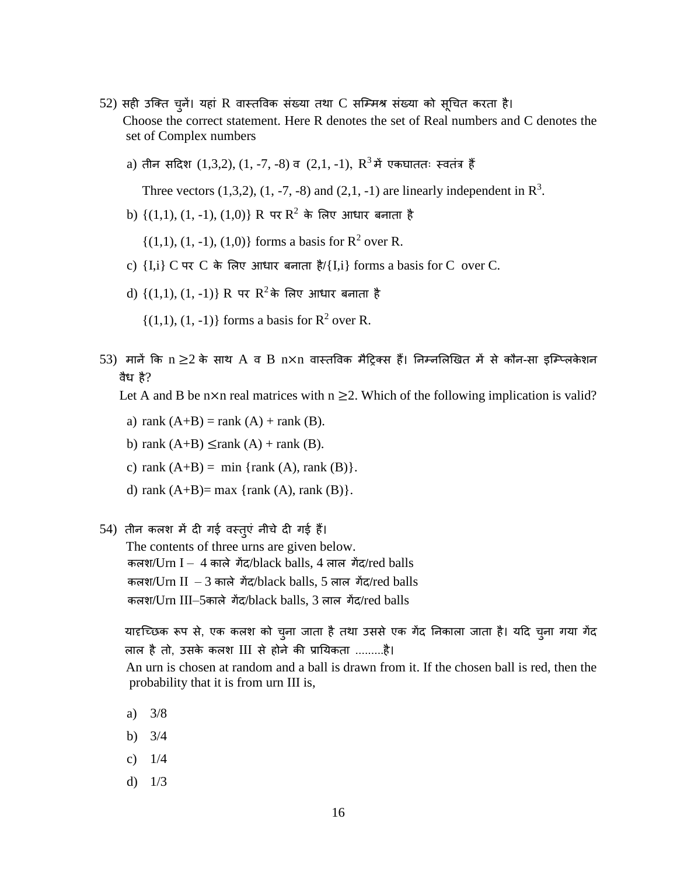- 52) सही उजक्त चुनें। यहां R वास्तववक संख्या तथा C सजम्मश्र संख्या को सूधचत करता है। Choose the correct statement. Here R denotes the set of Real numbers and C denotes the set of Complex numbers
	- $a)$  तीन सदिश  $(1,3,2), (1,$  -7, -8) व  $(2,1,$  -1),  ${\rm R}^{3}$ में एकघाततः स्वतंत्र हैं

Three vectors  $(1,3,2)$ ,  $(1, -7, -8)$  and  $(2,1, -1)$  are linearly independent in  $\mathbb{R}^3$ .

 $b)$   $\{(1,1), (1,-1), (1,0)\}$   $R$  पर  $R^2$  के लिए आधार बनाता है

 $\{(1,1), (1,-1), (1,0)\}\)$  forms a basis for  $\mathbb{R}^2$  over R.

- c)  $\{I, i\}$  C पर C के लिए आधार बनाता है/ $\{I, i\}$  forms a basis for C over C.
- $d)$   $\{(1,1), (1, -1)\}$  R पर  $R^2$ के लिए आधार बनाता है

 $\{(1,1), (1, -1)\}\)$  forms a basis for  $\mathbb{R}^2$  over R.

 $53)$  मानें कि  $\rm n$  ≥ $\rm 2$  के साथ  $\rm A$  व  $\rm B$   $\rm n\times n$  वास्तविक मैटि्क्स हैं। निम्नलिखित में से कौन-सा इम्प्लिकेशन वैध है?

Let A and B be n×n real matrices with  $n \geq 2$ . Which of the following implication is valid?

- a) rank  $(A+B)$  = rank  $(A)$  + rank  $(B)$ .
- b) rank  $(A+B) \leq$ rank  $(A)$  + rank  $(B)$ .
- c) rank  $(A+B) = min \{rank (A), rank (B)\}.$
- d) rank  $(A+B)=$  max {rank  $(A)$ , rank  $(B)$ }.
- 54) तीन कलश में दी गई वस्तुएं नीचे दी गई हैं।
	- The contents of three urns are given below. कलश/Urn I – 4 काले गेंद/black balls, 4 लाल गेंद/red balls कलश/Urn II – 3 काले गेंद/black balls, 5 लाल गेंद/red balls कलश/Urn III–5काले गेंद/black balls, 3 लाल गेंद/red balls

यादृच्छिक रूप से, एक कलश को चुना जाता है तथा उससे एक गेंद निकाला जाता है। यदि चुना गया गेंद लाल है तो, उसके कलश III से होने की प्रातयकता .........है।

 An urn is chosen at random and a ball is drawn from it. If the chosen ball is red, then the probability that it is from urn III is,

- a) 3/8
- b) 3/4
- c) 1/4
- d)  $1/3$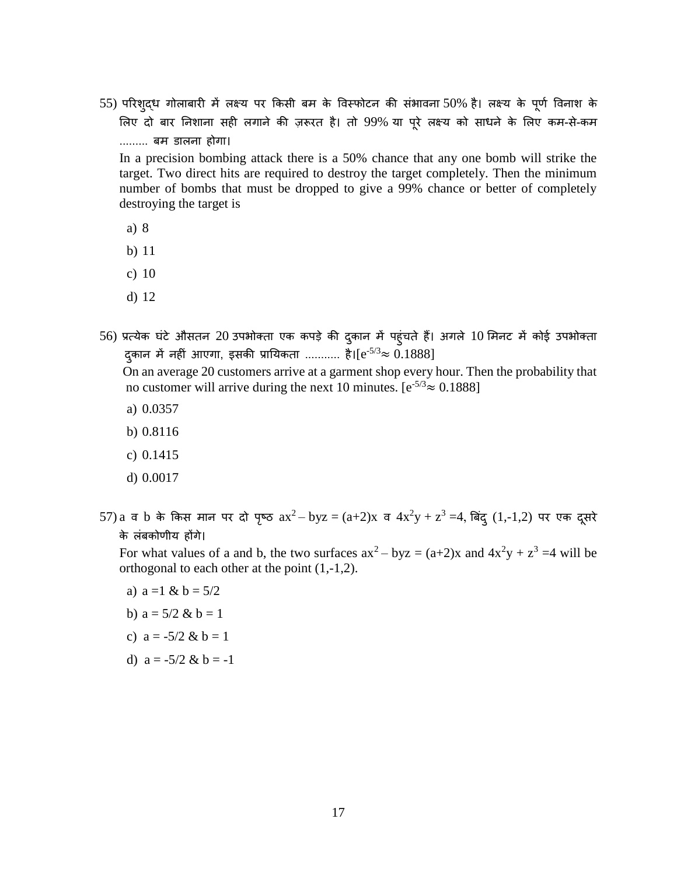55) परिशुद्ध गोलाबारी में लक्ष्य पर किसी बम के विस्फोटन की संभावना 50% है। लक्ष्य के पूर्ण विनाश के लिए दो बार निशाना सही लगाने की ज़रूरत है। तो 99% या पूरे लक्ष्य को साधने के लिए कम-से-कम ......... बम डालना होगा।

In a precision bombing attack there is a 50% chance that any one bomb will strike the target. Two direct hits are required to destroy the target completely. Then the minimum number of bombs that must be dropped to give a 99% chance or better of completely destroying the target is

- a) 8
- b) 11
- c) 10
- d) 12
- 56) प्रत्येक घंटे औसतन 20 उपभोक्ता एक कपड़े की दुकान में पहुंचते हैं। अगले 10 मिनट में कोई उपभोक्ता द्कान में नहीं आएगा, इसकी प्रायिकता ........... है।[e<sup>-5/3</sup>≈ 0.1888]

On an average 20 customers arrive at a garment shop every hour. Then the probability that no customer will arrive during the next 10 minutes.  $[e^{-5/3} \approx 0.1888]$ 

- a) 0.0357
- b) 0.8116
- c) 0.1415
- d) 0.0017

57) $a$  व  $b$  के किस मान पर दो पृष्ठ  $ax^2 - byz = (a+2)x$  व  $4x^2y + z^3 = 4$ , बिंदु  $(1,-1,2)$  पर एक दूसरे के लंबकोणीय होंगे।

For what values of a and b, the two surfaces  $ax^2 - byz = (a+2)x$  and  $4x^2y + z^3 = 4$  will be orthogonal to each other at the point (1,-1,2).

- a)  $a = 1$  &  $b = 5/2$
- b)  $a = 5/2 & b = 1$
- c)  $a = -5/2 & b = 1$
- d)  $a = -5/2$  &  $b = -1$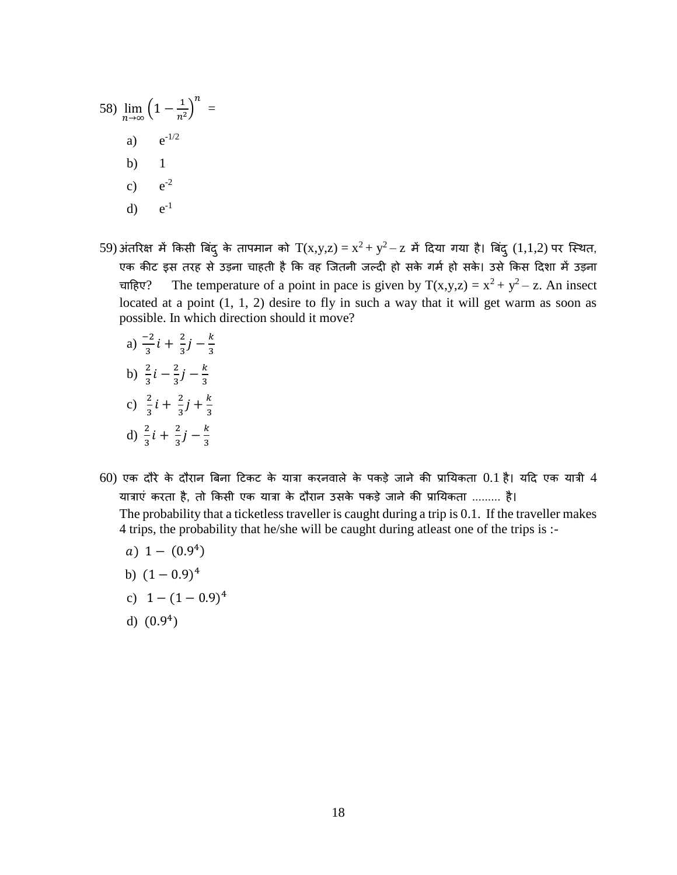58) 
$$
\lim_{n \to \infty} \left(1 - \frac{1}{n^2}\right)^n =
$$
  
a)  $e^{-1/2}$   
b) 1  
c)  $e^{-2}$   
d)  $e^{-1}$ 

- 59) अंतरिक्ष में किसी बिंदु के तापमान को  $T(x,y,z) = x^2 + y^2 z$  में दिया गया है। बिंदु  $(1,1,2)$  पर स्थित, एक कीट इस तरह से उड़ना चाहती है कि वह जितनी जल्दी हो सके गर्म हो सके। उसे किस दिशा में उड़ना चाहिए? The temperature of a point in pace is given by  $T(x,y,z) = x^2 + y^2 - z$ . An insect located at a point (1, 1, 2) desire to fly in such a way that it will get warm as soon as possible. In which direction should it move?
	- a)  $\frac{-2}{3}i + \frac{2}{3}$  $rac{2}{3}j-\frac{k}{3}$ 3 b)  $\frac{2}{3}i - \frac{2}{3}$  $rac{2}{3}j-\frac{k}{3}$ 3 c)  $\frac{2}{3}i + \frac{2}{3}$  $\frac{2}{3}j + \frac{k}{3}$ 3 d)  $\frac{2}{3}i + \frac{2}{3}$  $rac{2}{3}j-\frac{k}{3}$ 3
- $60$ ) एक दौरे के दौरान बिना टिकट के यात्रा करनवाले के पकड़े जाने की प्रायिकता  $0.1$  है। यदि एक यात्री  $4$ यात्राएं करता है, तो किसी एक यात्रा के दौरान उसके पकड़े जाने की प्रायिकता ......... है। The probability that a ticketless traveller is caught during a trip is 0.1. If the traveller makes 4 trips, the probability that he/she will be caught during atleast one of the trips is :
	- $a) 1 (0.9<sup>4</sup>)$
	- b)  $(1-0.9)^4$
	- c)  $1 (1 0.9)^4$
	- d)  $(0.9<sup>4</sup>)$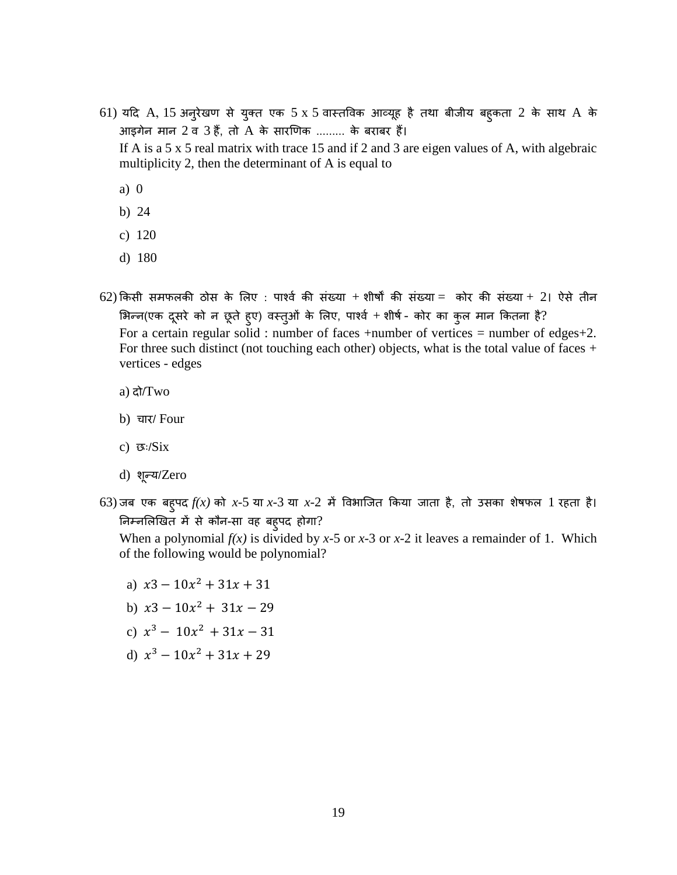- 61) यदि A, 15 अनुरेखण से युक्त एक 5 x 5 वास्तववक आव्यूह है तथा बीजीय बहुकता 2 के साथ A के आइगेन मान 2 व 3 हैं, तो A के सारणणक ......... के बराबर हैं। If A is a 5 x 5 real matrix with trace 15 and if 2 and 3 are eigen values of A, with algebraic multiplicity 2, then the determinant of A is equal to
	- a) 0
	- b) 24
	- c) 120
	- d) 180
- $62$ ) किसी समफलकी ठोस के लिए : पार्श्व की संख्या + शीर्षों की संख्या = कोर की संख्या + 2। ऐसे तीन भिन्न(एक दूसरे को न छूते हुए) वस्तुओं के लिए, पार्श्व + शीर्ष - कोर का कुल मान कितना है? For a certain regular solid : number of faces +number of vertices = number of edges+2. For three such distinct (not touching each other) objects, what is the total value of faces  $+$ vertices - edges
	- a) दो/Two
	- b) चार/ Four
	- c) छः/Six
	- d) शून्य/Zero
- $63$ ) जब एक बह्**पद**  $f(x)$  **को x-5 या x-3 या x-2 में विभाजित** किया जाता है, तो उसका शेषफल 1 रहता है। निम्नलिखित में से कौन-सा वह बहुपद होगा?

When a polynomial  $f(x)$  is divided by *x*-5 or *x*-3 or *x*-2 it leaves a remainder of 1. Which of the following would be polynomial?

- a)  $x3 10x^2 + 31x + 31$
- b)  $x3 10x^2 + 31x 29$
- c)  $x^3 10x^2 + 31x 31$
- d)  $x^3 10x^2 + 31x + 29$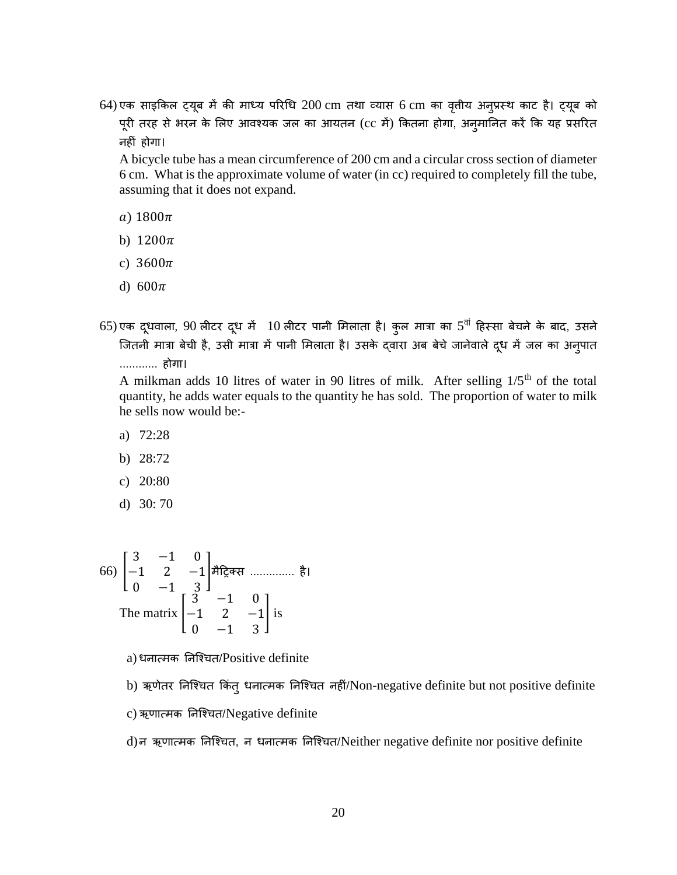64) एक साइकिल ट्यूब में की माध्य परिधि 200 cm तथा व्यास 6 cm का वृत्तीय अनुप्रस्थ काट है। ट्यूब को पूरी तरह से भरन के लिए आवश्यक जल का आयतन (cc में) कितना होगा, अनुमानित करें कि यह प्रसरित नहीं होगा।

A bicycle tube has a mean circumference of 200 cm and a circular cross section of diameter 6 cm. What is the approximate volume of water (in cc) required to completely fill the tube, assuming that it does not expand.

- a)  $1800\pi$
- b)  $1200\pi$
- c)  $3600\pi$
- d)  $600\pi$
- 65) एक दूधवाला, 90 लीटर दूध में  $\,$   $10$  लीटर पानी मिलाता है। कुल मात्रा का 5 $^{\overline{\mathfrak{q}}}$  हिस्सा बेचने के बाद, उसने जितनी मात्रा बेची है, उसी मात्रा में पानी मिलाता है। उसके द्वारा अब बेचे जानेवाले दूध में जल का अनुपात ............ होगा।

A milkman adds 10 litres of water in 90 litres of milk. After selling 1/5th of the total quantity, he adds water equals to the quantity he has sold. The proportion of water to milk he sells now would be:-

- a) 72:28
- b) 28:72
- c) 20:80
- d) 30: 70

66) 
$$
\begin{bmatrix} 3 & -1 & 0 \ -1 & 2 & -1 \ 0 & -1 & 3 \end{bmatrix}
$$
  $\stackrel{\text{4}}{7} \stackrel{\text{4}}{7} \stackrel{\text{4}}{7} \stackrel{\text{4}}{7} \stackrel{\text{4}}{7} \stackrel{\text{4}}{7} \stackrel{\text{4}}{7} \stackrel{\text{4}}{7} \stackrel{\text{4}}{7} \stackrel{\text{4}}{7} \stackrel{\text{4}}{7} \stackrel{\text{4}}{7} \stackrel{\text{4}}{7} \stackrel{\text{4}}{7} \stackrel{\text{4}}{7} \stackrel{\text{4}}{7} \stackrel{\text{4}}{7} \stackrel{\text{4}}{7} \stackrel{\text{4}}{7} \stackrel{\text{4}}{7} \stackrel{\text{4}}{7} \stackrel{\text{4}}{7} \stackrel{\text{4}}{7} \stackrel{\text{4}}{7} \stackrel{\text{4}}{7} \stackrel{\text{4}}{7} \stackrel{\text{4}}{7} \stackrel{\text{4}}{7} \stackrel{\text{4}}{7} \stackrel{\text{4}}{7} \stackrel{\text{4}}{7} \stackrel{\text{4}}{7} \stackrel{\text{4}}{7} \stackrel{\text{4}}{7} \stackrel{\text{4}}{7} \stackrel{\text{4}}{7} \stackrel{\text{4}}{7} \stackrel{\text{4}}{7} \stackrel{\text{4}}{7} \stackrel{\text{4}}{7} \stackrel{\text{4}}{7} \stackrel{\text{4}}{7} \stackrel{\text{4}}{7} \stackrel{\text{4}}{7} \stackrel{\text{4}}{7} \stackrel{\text{4}}{7} \stackrel{\text{4}}{7} \stackrel{\text{4}}{7} \stackrel{\text{4}}{7} \stackrel{\text{4}}{7} \stackrel{\text{4}}{7} \stackrel{\text{4}}{7} \stackrel{\text{4}}{7} \stackrel{\text{4}}{7} \stackrel{\text{4}}{7} \stackrel{\text{4}}{7} \stackrel{\text{4}}{7} \stackrel{\text{4}}{7} \stackrel{\text{4}}{7} \stackrel{\text{4}}{7} \stackrel{\text{4}}{7} \stackrel{\text{4}}{7} \stackrel{\text{4}}{7} \stackrel{\text{4}}{7} \stackrel{\text{4}}{7}$ 

a) धनात्मक तनजर्शचत/Positive definite

b) ऋणेतर निश्चित किंत् धनात्मक निश्चित नहीं/Non-negative definite but not positive definite

- c) ऋणात्मक तनजर्शचत/Negative definite
- d)न ऋणात्मक तनजर्शचत, न धनात्मक तनजर्शचत/Neither negative definite nor positive definite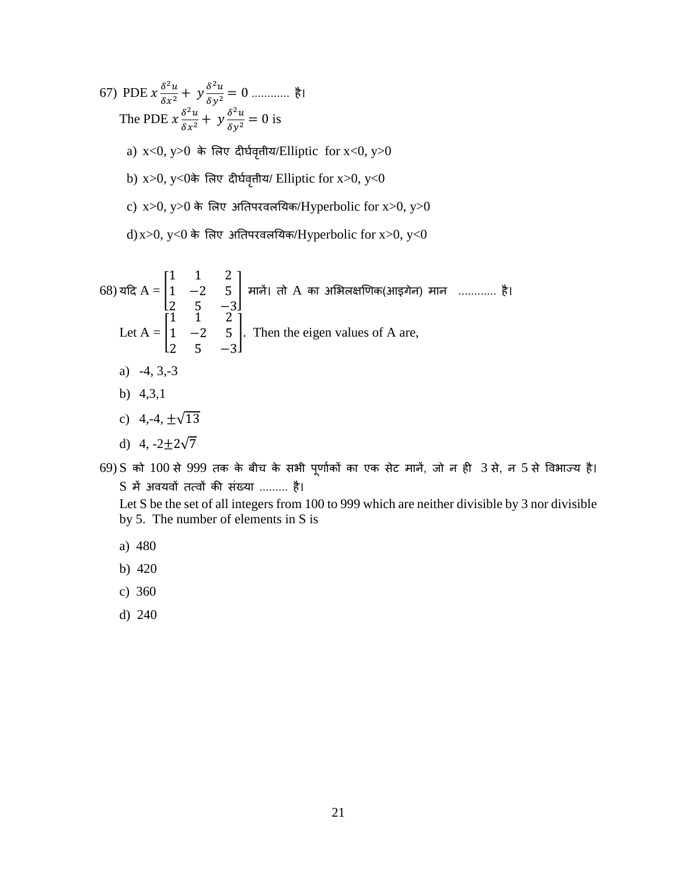67) PDE  $x \frac{\delta^2 u}{\delta x^2}$  <sup>2</sup> + 2 <sup>2</sup> <sup>=</sup> <sup>0</sup> ............ है। The PDE  $x \frac{\delta^2 u}{\delta x^2}$  $\frac{\delta^2 u}{\delta x^2} + y \frac{\delta^2 u}{\delta y^2} = 0$  is a)  $x < 0$ ,  $y > 0$  के लिए दीर्घवृतीय/Elliptic for  $x < 0$ ,  $y > 0$ b) x>0, y<0के लिए दीर्घवृत्तीय/ Elliptic for x>0, y<0 c)  $x>0$ ,  $y>0$  के लिए अतिपरवलयिक/Hyperbolic for  $x>0$ ,  $y>0$ d) x>0, y<0 के लिए अतिपरवलयिक/Hyperbolic for x>0, y<0

68) 
$$
\overline{dR} A = \begin{bmatrix} 1 & 1 & 2 \\ 1 & -2 & 5 \\ 2 & 5 & -3 \end{bmatrix}
$$
  $\overline{dR} A$  and  $\overline{dR} B$  and  $\overline{dR} B$  are the eigenvalues of A are.  
\nLet  $A = \begin{bmatrix} 1 & 1 & 2 \\ 1 & -2 & 5 \\ 2 & 5 & -3 \end{bmatrix}$ . Then the eigen values of A are,  
\na) -4, 3,-3  
\nb) 4,3,1  
\nc) 4,-4,  $\pm \sqrt{13}$   
\nd) 4, -2 $\pm 2\sqrt{7}$ 

69) S को 100 से 999 तक के बीच के सभी पूणाषकों का एक सेट मानें, जो न ही 3 से, न 5 से ववभाज्य है। S में अवयवों तत्वों की संख्या ......... है।

Let S be the set of all integers from 100 to 999 which are neither divisible by 3 nor divisible by 5. The number of elements in S is

- a) 480
- b) 420
- c) 360
- d) 240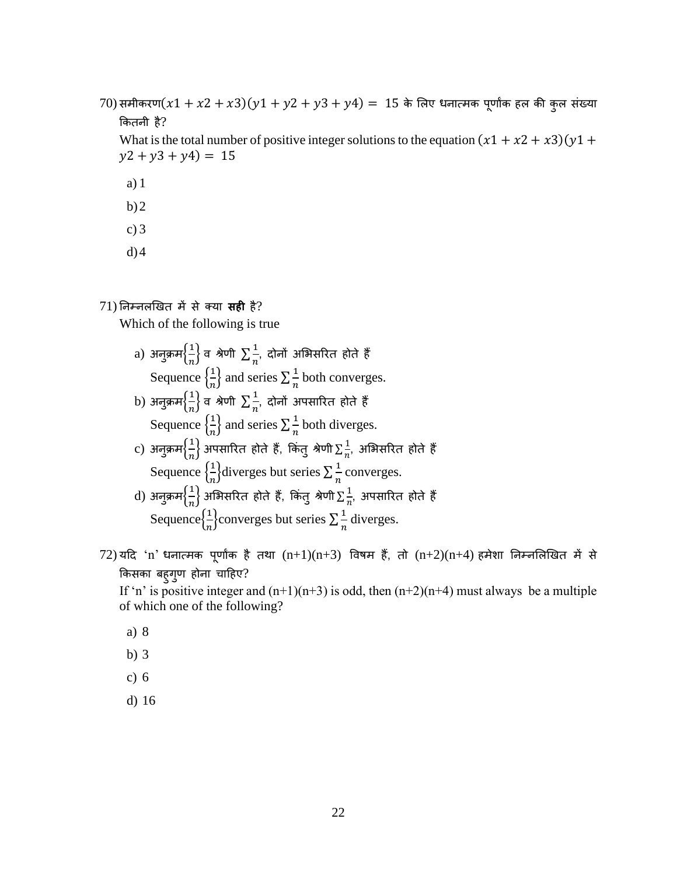70) समीकरण $(x1 + x2 + x3)(y1 + y2 + y3 + y4) = 15$  के लिए धनात्मक पूर्णाक हल की कुल संख्या ककतनी है?

What is the total number of positive integer solutions to the equation  $(x1 + x2 + x3)(y1 + y4)$  $y2 + y3 + y4 = 15$ 

- a) 1
- $b)2$
- c) 3
- $d$ ) $4$

## 71) तनम्नलणखत में से क्या **सही** है?

Which of the following is true

- $\alpha$ ) अनुक्रम $\Big\{\frac{1}{n}\Big\}$  $\left\lfloor\frac{1}{n}\right\rfloor$ व श्रेणी  $\sum\frac{1}{n}$  $\frac{\tilde{-}}{n}$ , दोनों अभिरारित होते हैं । Sequence  $\left\{\frac{1}{n}\right\}$  $\left\{\frac{n}{n}\right\}$  and series  $\sum_{n=1}^{\infty} \frac{1}{n}$  $\frac{1}{n}$  both converges.  $\displaystyle \mathrm{(b)}$  अनुक्रम $\big\{\frac{1}{n}\big\}$  $\left\lfloor \frac{1}{n} \right\rfloor$ व श्रेणी  $\sum \frac{1}{n}$  $\frac{1}{n}$ , दोनों अपसारित होते हैं ।<br>" Sequence  $\left\{\frac{1}{n}\right\}$  $\left\{\frac{n}{n}\right\}$  and series  $\sum_{n=1}^{\infty} \frac{1}{n}$  $\frac{1}{n}$  both diverges.  $\rm c)$  अनुक्रम $\left\{\frac{1}{n}\right\}$  $\left\{\frac{1}{n}\right\}$ अपसारित होते हैं, किंतु श्रेणी  $\sum\limits_{n}^{\infty}\frac{1}{n}$  $\frac{1}{n}$ , अभिसरित होते हैं | Sequence  $\left\{\frac{1}{n}\right\}$  $\frac{1}{n}$ diverges but series  $\sum_{n=1}^{\infty}$  $\frac{1}{n}$  converges.  $\mathrm{d}$ ) अनुक्रम $\left\{\frac{1}{n}\right\}$  $\frac{1}{n}\}$ अभिसरित होते हैं, किंतु श्रेणी $\sum \frac{1}{n}$  $\frac{1}{n}$ , अपसारित होते हैं  $\,$ Sequence $\left\{\frac{1}{n}\right\}$  $\frac{1}{n}$ converges but series  $\sum_{n=1}^{\infty}$  $\frac{1}{n}$  diverges.
- $72$ ) यदि 'n' धनात्मक पूर्णाक है तथा  $(n+1)(n+3)$  विषम हैं, तो  $(n+2)(n+4)$  हमेशा निम्नलिखित में से किसका बहुगुण होना चाहिए?

If 'n' is positive integer and  $(n+1)(n+3)$  is odd, then  $(n+2)(n+4)$  must always be a multiple of which one of the following?

- a) 8
- b) 3
- c) 6
- d) 16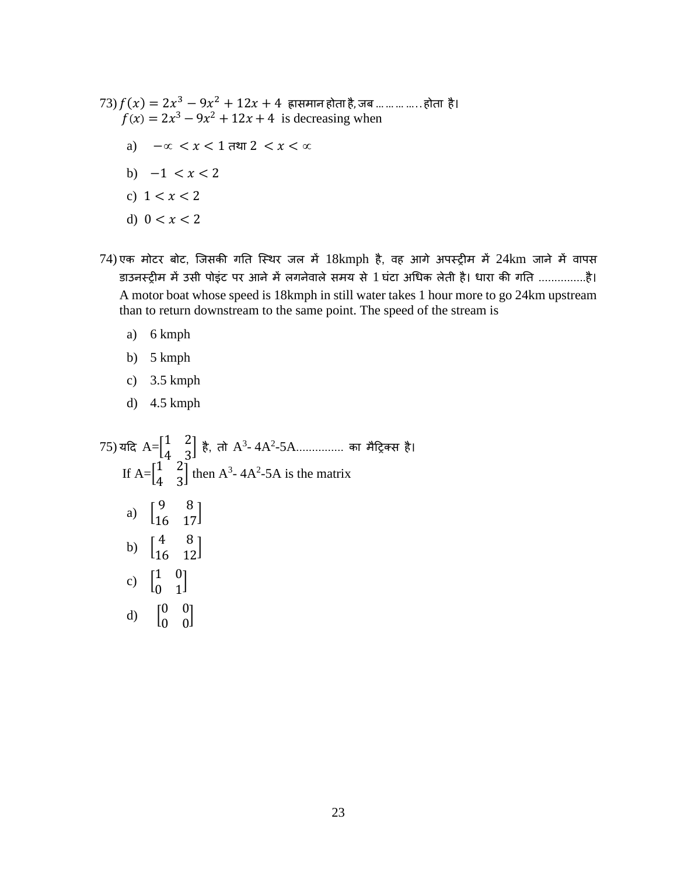- $(73) f(x) = 2x^3 9x^2 + 12x + 4$  ह्रासमान होता है, जब … … … … .. होता है।  $f(x) = 2x^3 - 9x^2 + 12x + 4$  is decreasing when a)  $-\infty < x < 1$  तथा  $2 < x < \infty$ b)  $-1 < x < 2$ c)  $1 < x < 2$ d)  $0 < x < 2$
- 74) एक मोटर बोट, जजसकी गतत जस्थर जल में 18kmph है, वह आगे अपस्िीम में 24km जाने में वापस डाउनस्िीम में उसी पोइंट पर आने में लगनेवाले समय से 1 घंटा अधधक लेती है। धारा की गतत ...............है। A motor boat whose speed is 18kmph in still water takes 1 hour more to go 24km upstream than to return downstream to the same point. The speed of the stream is
	- a) 6 kmph
	- b) 5 kmph
	- c) 3.5 kmph
	- d) 4.5 kmph

 $(75)$  यदि  $A = \begin{bmatrix} 1 & 2 \ 4 & 3 \end{bmatrix}$  $\begin{bmatrix} 1 & 2 \\ 4 & 3 \end{bmatrix}$  है, तो  $A^3$ - 4A<sup>2</sup>-5A................. का मैट्रिक्स है। If  $A = \begin{bmatrix} 1 & 2 \\ 1 & 2 \end{bmatrix}$  $\begin{bmatrix} 1 & 2 \\ 4 & 3 \end{bmatrix}$  then A<sup>3</sup>-4A<sup>2</sup>-5A is the matrix a)  $\begin{bmatrix} 9 & 8 \\ 16 & 17 \end{bmatrix}$ b)  $\begin{bmatrix} 4 & 8 \\ 16 & 12 \end{bmatrix}$ c)  $\begin{bmatrix} 1 & 0 \\ 0 & 1 \end{bmatrix}$  $\begin{bmatrix} 1 & 0 \\ 0 & 1 \end{bmatrix}$ d)  $\begin{bmatrix} 0 & 0 \\ 0 & 0 \end{bmatrix}$  $\begin{bmatrix} 0 & 0 \\ 0 & 0 \end{bmatrix}$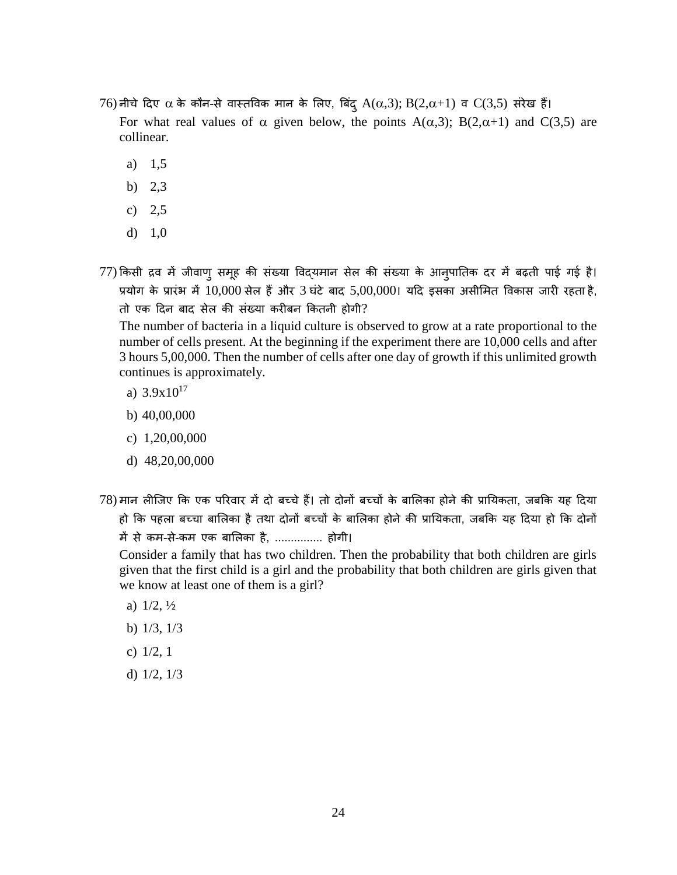76) नीचे दिए α के कौन-से वास्तविक मान के लिए, बिंदू A(α,3); B(2,α+1) व C(3,5) संरेख हैं।

For what real values of  $\alpha$  given below, the points A( $\alpha$ ,3); B(2, $\alpha$ +1) and C(3,5) are collinear.

- a) 1,5
- b) 2,3
- c) 2,5
- d) 1,0
- 77) किसी द्रव में जीवाणु समूह की संख्या विद्यमान सेल की संख्या के आनुपातिक दर में बढ़ती पाई गई है। प्रयोग के प्रारंभ में 10,000 सेल हैं और 3 घंटे बाद 5,00,000। यदि इसका असीमित विकास जारी रहता है, तो एक दिन बाद सेल की संख्या करीबन कितनी होगी?

The number of bacteria in a liquid culture is observed to grow at a rate proportional to the number of cells present. At the beginning if the experiment there are 10,000 cells and after 3 hours 5,00,000. Then the number of cells after one day of growth if this unlimited growth continues is approximately.

- a)  $3.9x10^{17}$
- b) 40,00,000
- c) 1,20,00,000
- d) 48,20,00,000
- 78) मान लीजिए कि एक परिवार में दो बच्चे हैं। तो दोनों बच्चों के बालिका होने की प्रायिकता, जबकि यह दिया हो कि पहला बच्चा बालिका है तथा दोनों बच्चों के बालिका होने की प्रायिकता, जबकि यह दिया हो कि दोनों

में से कम-से-कम एक बासलका है, ............... होगी।

Consider a family that has two children. Then the probability that both children are girls given that the first child is a girl and the probability that both children are girls given that we know at least one of them is a girl?

- a)  $1/2, \frac{1}{2}$
- b) 1/3, 1/3
- c) 1/2, 1
- d) 1/2, 1/3